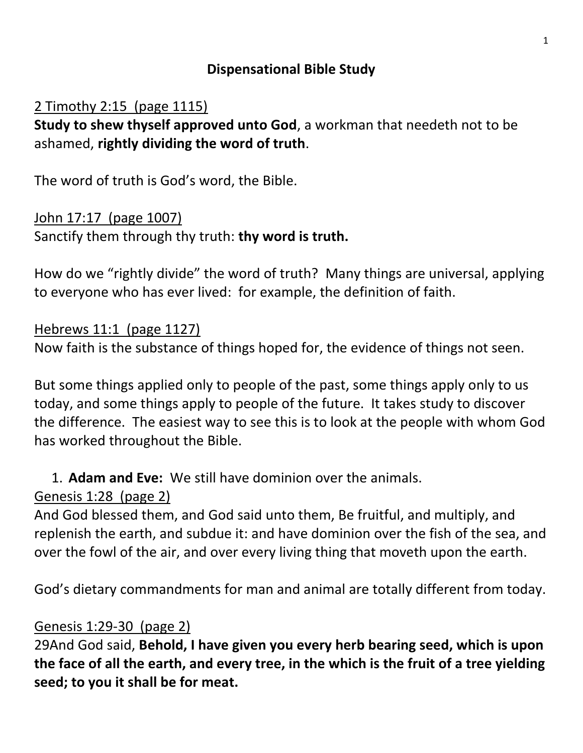#### **Dispensational Bible Study**

### 2 Timothy 2:15 (page 1115)

**Study to shew thyself approved unto God**, a workman that needeth not to be ashamed, **rightly dividing the word of truth**.

The word of truth is God's word, the Bible.

#### John 17:17 (page 1007)

Sanctify them through thy truth: **thy word is truth.**

How do we "rightly divide" the word of truth? Many things are universal, applying to everyone who has ever lived: for example, the definition of faith.

#### Hebrews 11:1 (page 1127)

Now faith is the substance of things hoped for, the evidence of things not seen.

But some things applied only to people of the past, some things apply only to us today, and some things apply to people of the future. It takes study to discover the difference. The easiest way to see this is to look at the people with whom God has worked throughout the Bible.

### 1. **Adam and Eve:** We still have dominion over the animals.

#### Genesis 1:28 (page 2)

And God blessed them, and God said unto them, Be fruitful, and multiply, and replenish the earth, and subdue it: and have dominion over the fish of the sea, and over the fowl of the air, and over every living thing that moveth upon the earth.

God's dietary commandments for man and animal are totally different from today.

#### Genesis 1:29-30 (page 2)

29And God said, **Behold, I have given you every herb bearing seed, which is upon the face of all the earth, and every tree, in the which is the fruit of a tree yielding seed; to you it shall be for meat.**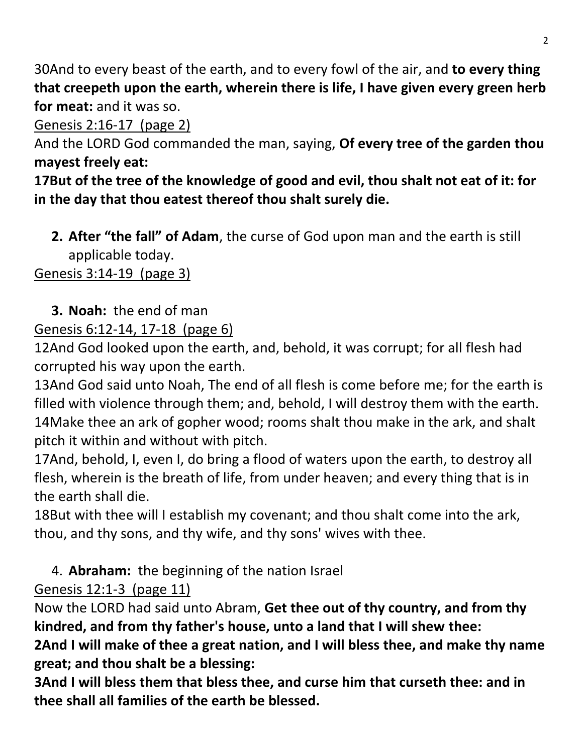30And to every beast of the earth, and to every fowl of the air, and **to every thing that creepeth upon the earth, wherein there is life, I have given every green herb for meat:** and it was so.

Genesis 2:16-17 (page 2)

And the LORD God commanded the man, saying, **Of every tree of the garden thou mayest freely eat:**

**17But of the tree of the knowledge of good and evil, thou shalt not eat of it: for in the day that thou eatest thereof thou shalt surely die.**

**2. After "the fall" of Adam**, the curse of God upon man and the earth is still applicable today.

Genesis 3:14-19 (page 3)

# **3. Noah:** the end of man

## Genesis 6:12-14, 17-18 (page 6)

12And God looked upon the earth, and, behold, it was corrupt; for all flesh had corrupted his way upon the earth.

13And God said unto Noah, The end of all flesh is come before me; for the earth is filled with violence through them; and, behold, I will destroy them with the earth. 14Make thee an ark of gopher wood; rooms shalt thou make in the ark, and shalt pitch it within and without with pitch.

17And, behold, I, even I, do bring a flood of waters upon the earth, to destroy all flesh, wherein is the breath of life, from under heaven; and every thing that is in the earth shall die.

18But with thee will I establish my covenant; and thou shalt come into the ark, thou, and thy sons, and thy wife, and thy sons' wives with thee.

# 4. **Abraham:** the beginning of the nation Israel

## Genesis 12:1-3 (page 11)

Now the LORD had said unto Abram, **Get thee out of thy country, and from thy kindred, and from thy father's house, unto a land that I will shew thee:**

**2And I will make of thee a great nation, and I will bless thee, and make thy name great; and thou shalt be a blessing:**

**3And I will bless them that bless thee, and curse him that curseth thee: and in thee shall all families of the earth be blessed.**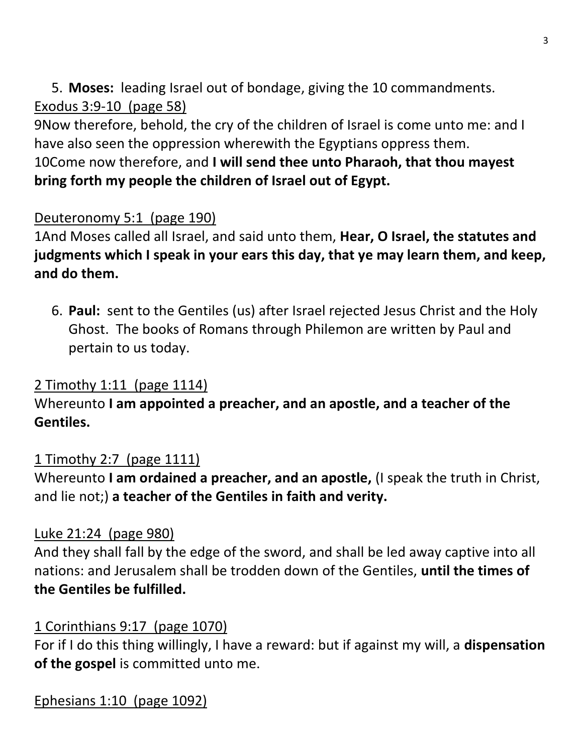5. **Moses:** leading Israel out of bondage, giving the 10 commandments. Exodus 3:9-10 (page 58)

9Now therefore, behold, the cry of the children of Israel is come unto me: and I have also seen the oppression wherewith the Egyptians oppress them. 10Come now therefore, and **I will send thee unto Pharaoh, that thou mayest bring forth my people the children of Israel out of Egypt.**

### Deuteronomy 5:1 (page 190)

1And Moses called all Israel, and said unto them, **Hear, O Israel, the statutes and judgments which I speak in your ears this day, that ye may learn them, and keep, and do them.**

6. **Paul:** sent to the Gentiles (us) after Israel rejected Jesus Christ and the Holy Ghost. The books of Romans through Philemon are written by Paul and pertain to us today.

## 2 Timothy 1:11 (page 1114)

### Whereunto **I am appointed a preacher, and an apostle, and a teacher of the Gentiles.**

### 1 Timothy 2:7 (page 1111)

Whereunto **I am ordained a preacher, and an apostle,** (I speak the truth in Christ, and lie not;) **a teacher of the Gentiles in faith and verity.**

#### Luke 21:24 (page 980)

And they shall fall by the edge of the sword, and shall be led away captive into all nations: and Jerusalem shall be trodden down of the Gentiles, **until the times of the Gentiles be fulfilled.**

#### 1 Corinthians 9:17 (page 1070)

For if I do this thing willingly, I have a reward: but if against my will, a **dispensation of the gospel** is committed unto me.

Ephesians 1:10 (page 1092)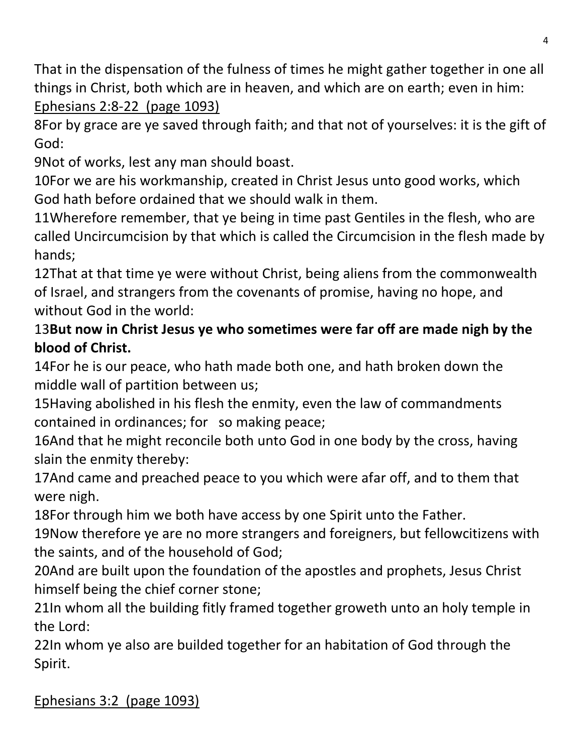That in the dispensation of the fulness of times he might gather together in one all things in Christ, both which are in heaven, and which are on earth; even in him: Ephesians 2:8-22 (page 1093)

8For by grace are ye saved through faith; and that not of yourselves: it is the gift of God:

9Not of works, lest any man should boast.

10For we are his workmanship, created in Christ Jesus unto good works, which God hath before ordained that we should walk in them.

11Wherefore remember, that ye being in time past Gentiles in the flesh, who are called Uncircumcision by that which is called the Circumcision in the flesh made by hands;

12That at that time ye were without Christ, being aliens from the commonwealth of Israel, and strangers from the covenants of promise, having no hope, and without God in the world:

## 13**But now in Christ Jesus ye who sometimes were far off are made nigh by the blood of Christ.**

14For he is our peace, who hath made both one, and hath broken down the middle wall of partition between us;

15Having abolished in his flesh the enmity, even the law of commandments contained in ordinances; for so making peace;

16And that he might reconcile both unto God in one body by the cross, having slain the enmity thereby:

17And came and preached peace to you which were afar off, and to them that were nigh.

18For through him we both have access by one Spirit unto the Father.

19Now therefore ye are no more strangers and foreigners, but fellowcitizens with the saints, and of the household of God;

20And are built upon the foundation of the apostles and prophets, Jesus Christ himself being the chief corner stone;

21In whom all the building fitly framed together groweth unto an holy temple in the Lord:

22In whom ye also are builded together for an habitation of God through the Spirit.

Ephesians 3:2 (page 1093)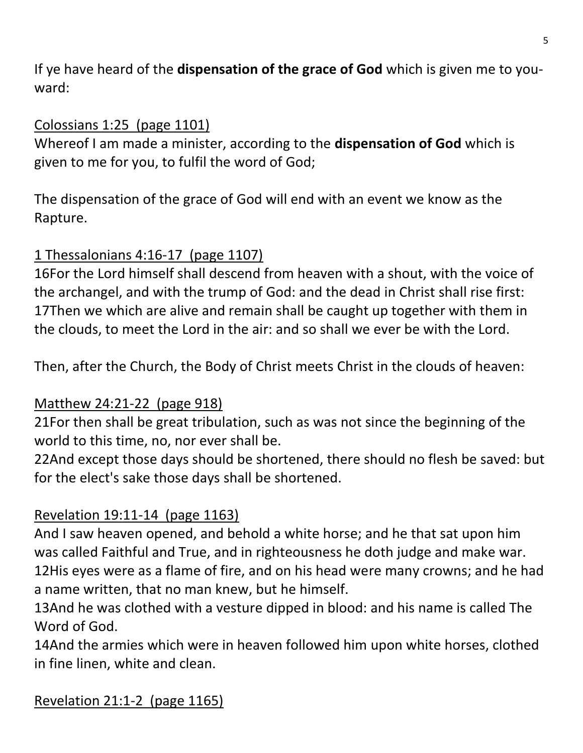If ye have heard of the **dispensation of the grace of God** which is given me to youward:

#### Colossians 1:25 (page 1101)

Whereof I am made a minister, according to the **dispensation of God** which is given to me for you, to fulfil the word of God;

The dispensation of the grace of God will end with an event we know as the Rapture.

## 1 Thessalonians 4:16-17 (page 1107)

16For the Lord himself shall descend from heaven with a shout, with the voice of the archangel, and with the trump of God: and the dead in Christ shall rise first: 17Then we which are alive and remain shall be caught up together with them in the clouds, to meet the Lord in the air: and so shall we ever be with the Lord.

Then, after the Church, the Body of Christ meets Christ in the clouds of heaven:

### Matthew 24:21-22 (page 918)

21For then shall be great tribulation, such as was not since the beginning of the world to this time, no, nor ever shall be.

22And except those days should be shortened, there should no flesh be saved: but for the elect's sake those days shall be shortened.

## Revelation 19:11-14 (page 1163)

And I saw heaven opened, and behold a white horse; and he that sat upon him was called Faithful and True, and in righteousness he doth judge and make war. 12His eyes were as a flame of fire, and on his head were many crowns; and he had a name written, that no man knew, but he himself.

13And he was clothed with a vesture dipped in blood: and his name is called The Word of God.

14And the armies which were in heaven followed him upon white horses, clothed in fine linen, white and clean.

Revelation 21:1-2 (page 1165)